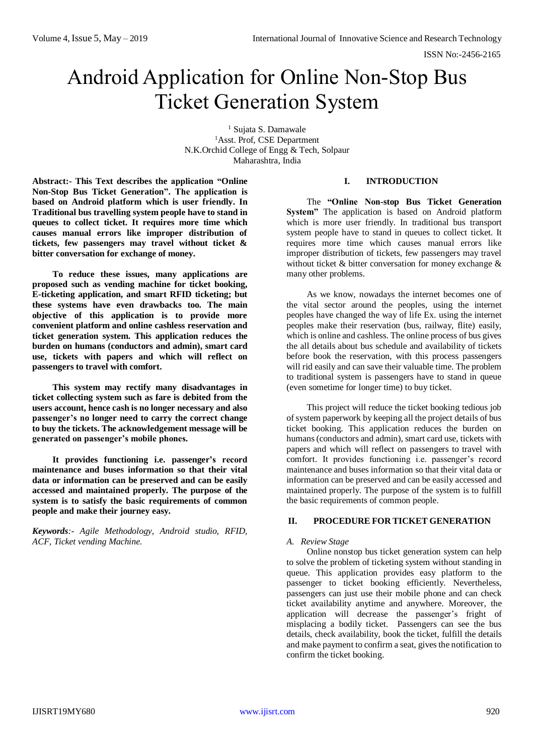# Android Application for Online Non-Stop Bus Ticket Generation System

<sup>1</sup> Sujata S. Damawale <sup>1</sup>Asst. Prof, CSE Department N.K.Orchid College of Engg & Tech, Solpaur Maharashtra, India

**Abstract:- This Text describes the application "Online Non-Stop Bus Ticket Generation". The application is based on Android platform which is user friendly. In Traditional bus travelling system people have to stand in queues to collect ticket. It requires more time which causes manual errors like improper distribution of tickets, few passengers may travel without ticket & bitter conversation for exchange of money.**

**To reduce these issues, many applications are proposed such as vending machine for ticket booking, E-ticketing application, and smart RFID ticketing; but these systems have even drawbacks too. The main objective of this application is to provide more convenient platform and online cashless reservation and ticket generation system. This application reduces the burden on humans (conductors and admin), smart card use, tickets with papers and which will reflect on passengers to travel with comfort.**

**This system may rectify many disadvantages in ticket collecting system such as fare is debited from the users account, hence cash is no longer necessary and also passenger's no longer need to carry the correct change to buy the tickets. The acknowledgement message will be generated on passenger's mobile phones.**

**It provides functioning i.e. passenger's record maintenance and buses information so that their vital data or information can be preserved and can be easily accessed and maintained properly. The purpose of the system is to satisfy the basic requirements of common people and make their journey easy.**

*Keywords:- Agile Methodology, Android studio, RFID, ACF, Ticket vending Machine.*

# **I. INTRODUCTION**

The **"Online Non-stop Bus Ticket Generation System"** The application is based on Android platform which is more user friendly. In traditional bus transport system people have to stand in queues to collect ticket. It requires more time which causes manual errors like improper distribution of tickets, few passengers may travel without ticket & bitter conversation for money exchange & many other problems.

As we know, nowadays the internet becomes one of the vital sector around the peoples, using the internet peoples have changed the way of life Ex. using the internet peoples make their reservation (bus, railway, flite) easily, which is online and cashless. The online process of bus gives the all details about bus schedule and availability of tickets before book the reservation, with this process passengers will rid easily and can save their valuable time. The problem to traditional system is passengers have to stand in queue (even sometime for longer time) to buy ticket.

This project will reduce the ticket booking tedious job of system paperwork by keeping all the project details of bus ticket booking. This application reduces the burden on humans (conductors and admin), smart card use, tickets with papers and which will reflect on passengers to travel with comfort. It provides functioning i.e. passenger's record maintenance and buses information so that their vital data or information can be preserved and can be easily accessed and maintained properly. The purpose of the system is to fulfill the basic requirements of common people.

## **II. PROCEDURE FOR TICKET GENERATION**

## *A. Review Stage*

Online nonstop bus ticket generation system can help to solve the problem of ticketing system without standing in queue. This application provides easy platform to the passenger to ticket booking efficiently. Nevertheless, passengers can just use their mobile phone and can check ticket availability anytime and anywhere. Moreover, the application will decrease the passenger's fright of misplacing a bodily ticket. Passengers can see the bus details, check availability, book the ticket, fulfill the details and make payment to confirm a seat, gives the notification to confirm the ticket booking.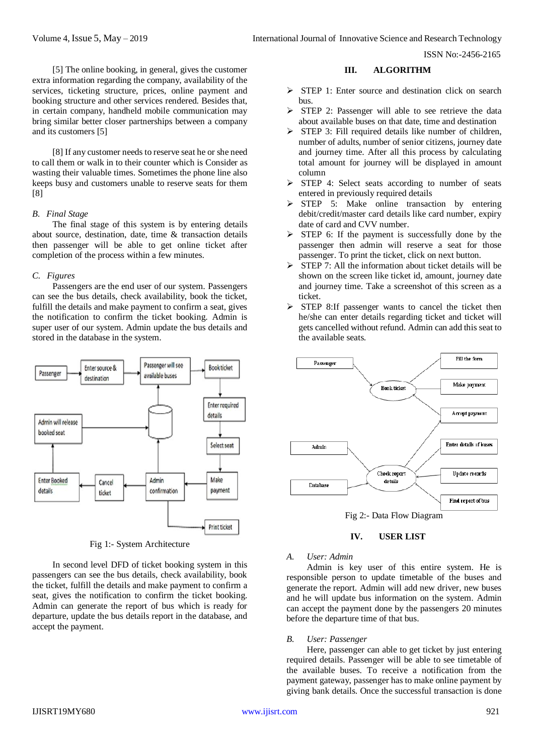ISSN No:-2456-2165

[5] The online booking, in general, gives the customer extra information regarding the company, availability of the services, ticketing structure, prices, online payment and booking structure and other services rendered. Besides that, in certain company, handheld mobile communication may bring similar better closer partnerships between a company and its customers [5]

[8] If any customer needs to reserve seat he or she need to call them or walk in to their counter which is Consider as wasting their valuable times. Sometimes the phone line also keeps busy and customers unable to reserve seats for them [8]

## *B. Final Stage*

The final stage of this system is by entering details about source, destination, date, time & transaction details then passenger will be able to get online ticket after completion of the process within a few minutes.

## *C. Figures*

Passengers are the end user of our system. Passengers can see the bus details, check availability, book the ticket, fulfill the details and make payment to confirm a seat, gives the notification to confirm the ticket booking. Admin is super user of our system. Admin update the bus details and stored in the database in the system.



Fig 1:- System Architecture

In second level DFD of ticket booking system in this passengers can see the bus details, check availability, book the ticket, fulfill the details and make payment to confirm a seat, gives the notification to confirm the ticket booking. Admin can generate the report of bus which is ready for departure, update the bus details report in the database, and accept the payment.

## **III. ALGORITHM**

- STEP 1: Enter source and destination click on search bus.
- $\triangleright$  STEP 2: Passenger will able to see retrieve the data about available buses on that date, time and destination
- $\triangleright$  STEP 3: Fill required details like number of children, number of adults, number of senior citizens, journey date and journey time. After all this process by calculating total amount for journey will be displayed in amount column
- $\triangleright$  STEP 4: Select seats according to number of seats entered in previously required details
- $\triangleright$  STEP 5: Make online transaction by entering debit/credit/master card details like card number, expiry date of card and CVV number.
- $\triangleright$  STEP 6: If the payment is successfully done by the passenger then admin will reserve a seat for those passenger. To print the ticket, click on next button.
- $\triangleright$  STEP 7: All the information about ticket details will be shown on the screen like ticket id, amount, journey date and journey time. Take a screenshot of this screen as a ticket.
- $\triangleright$  STEP 8:If passenger wants to cancel the ticket then he/she can enter details regarding ticket and ticket will gets cancelled without refund. Admin can add this seat to the available seats.





## *A. User: Admin*

Admin is key user of this entire system. He is responsible person to update timetable of the buses and generate the report. Admin will add new driver, new buses and he will update bus information on the system. Admin can accept the payment done by the passengers 20 minutes before the departure time of that bus.

## *B. User: Passenger*

Here, passenger can able to get ticket by just entering required details. Passenger will be able to see timetable of the available buses. To receive a notification from the payment gateway, passenger has to make online payment by giving bank details. Once the successful transaction is done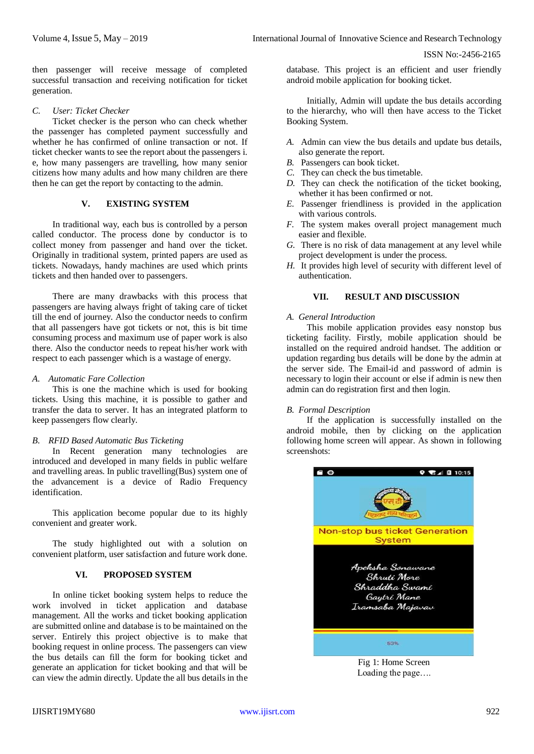then passenger will receive message of completed successful transaction and receiving notification for ticket generation.

## *C. User: Ticket Checker*

Ticket checker is the person who can check whether the passenger has completed payment successfully and whether he has confirmed of online transaction or not. If ticket checker wants to see the report about the passengers i. e, how many passengers are travelling, how many senior citizens how many adults and how many children are there then he can get the report by contacting to the admin.

# **V. EXISTING SYSTEM**

In traditional way, each bus is controlled by a person called conductor. The process done by conductor is to collect money from passenger and hand over the ticket. Originally in traditional system, printed papers are used as tickets. Nowadays, handy machines are used which prints tickets and then handed over to passengers.

There are many drawbacks with this process that passengers are having always fright of taking care of ticket till the end of journey. Also the conductor needs to confirm that all passengers have got tickets or not, this is bit time consuming process and maximum use of paper work is also there. Also the conductor needs to repeat his/her work with respect to each passenger which is a wastage of energy.

## *A. Automatic Fare Collection*

This is one the machine which is used for booking tickets. Using this machine, it is possible to gather and transfer the data to server. It has an integrated platform to keep passengers flow clearly.

# *B. RFID Based Automatic Bus Ticketing*

In Recent generation many technologies are introduced and developed in many fields in public welfare and travelling areas. In public travelling(Bus) system one of the advancement is a device of Radio Frequency identification.

This application become popular due to its highly convenient and greater work.

The study highlighted out with a solution on convenient platform, user satisfaction and future work done.

# **VI. PROPOSED SYSTEM**

In online ticket booking system helps to reduce the work involved in ticket application and database management. All the works and ticket booking application are submitted online and database is to be maintained on the server. Entirely this project objective is to make that booking request in online process. The passengers can view the bus details can fill the form for booking ticket and generate an application for ticket booking and that will be can view the admin directly. Update the all bus details in the database. This project is an efficient and user friendly android mobile application for booking ticket.

Initially, Admin will update the bus details according to the hierarchy, who will then have access to the Ticket Booking System.

- *A.* Admin can view the bus details and update bus details, also generate the report.
- *B.* Passengers can book ticket.
- *C.* They can check the bus timetable.
- *D.* They can check the notification of the ticket booking, whether it has been confirmed or not.
- *E.* Passenger friendliness is provided in the application with various controls.
- *F.* The system makes overall project management much easier and flexible.
- *G.* There is no risk of data management at any level while project development is under the process.
- *H.* It provides high level of security with different level of authentication.

## **VII. RESULT AND DISCUSSION**

## *A. General Introduction*

This mobile application provides easy nonstop bus ticketing facility. Firstly, mobile application should be installed on the required android handset. The addition or updation regarding bus details will be done by the admin at the server side. The Email-id and password of admin is necessary to login their account or else if admin is new then admin can do registration first and then login.

# *B. Formal Description*

If the application is successfully installed on the android mobile, then by clicking on the application following home screen will appear. As shown in following screenshots:



Fig 1: Home Screen Loading the page….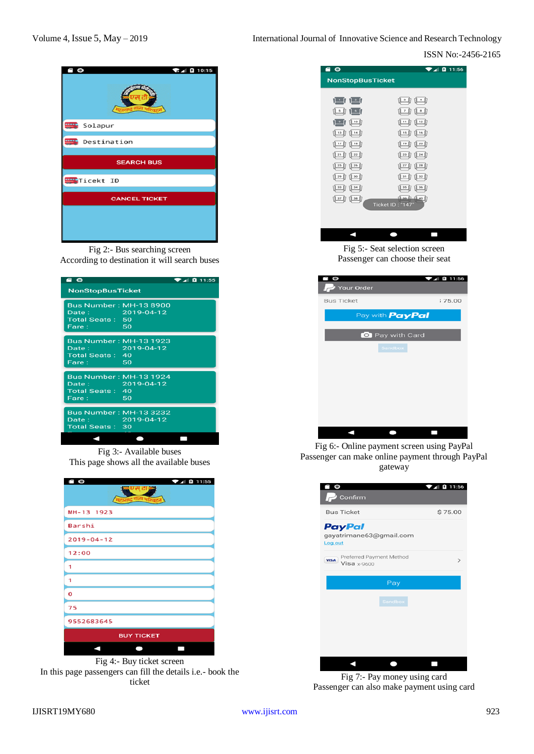# ISSN No:-2456-2165



Fig 2:- Bus searching screen According to destination it will search buses

| $\blacksquare$                                      |                                     | $\blacktriangleright$ 4 $\blacksquare$ 11:55 |
|-----------------------------------------------------|-------------------------------------|----------------------------------------------|
| <b>NonStopBusTicket</b>                             |                                     |                                              |
| Date: 2019-04-12<br><b>Total Seats: 50</b><br>Fare: | <b>Bus Number: MH-13 8900</b><br>50 |                                              |
| Date: 2019-04-12<br><b>Total Seats: 40</b><br>Fare: | <b>Bus Number: MH-13 1923</b><br>50 |                                              |
| Date: 2019-04-12<br><b>Total Seats: 40</b><br>Fare: | <b>Bus Number: MH-13 1924</b><br>50 |                                              |
| Date: 2019-04-12<br>Total Seats: 30                 | <b>Bus Number: MH-13 3232</b>       |                                              |
|                                                     |                                     |                                              |

Fig 3:- Available buses This page shows all the available buses

| $\n  4 0 11:55$   |  |  |
|-------------------|--|--|
| MH-13 1923        |  |  |
| Barshi            |  |  |
| $2019 - 04 - 12$  |  |  |
| 12:00             |  |  |
| 1                 |  |  |
| 1                 |  |  |
| o                 |  |  |
| 75                |  |  |
| 9552683645        |  |  |
| <b>BUY TICKET</b> |  |  |
|                   |  |  |

Fig 4:- Buy ticket screen In this page passengers can fill the details i.e.- book the ticket

| 80                                          | ø<br>11:56                                |
|---------------------------------------------|-------------------------------------------|
| <b>NonStopBusTicket</b>                     |                                           |
|                                             |                                           |
| புடி                                        | $\Box$                                    |
| الكال الحان                                 | <u>1701-0</u>                             |
| $1$ $1$ $1$ $1$                             | 10 11 11 12 17                            |
| $0.13$ $0.14$                               | <u>1150 1150 </u>                         |
| <u>(112    10   </u>                        | <u>(120)</u> (120)                        |
| $121$ $122$                                 | (123. (124. (1                            |
| $25$ $26$                                   | $27$ $28$                                 |
| $29$ [] $30$ []                             | <u> Jarlj Jazlj</u>                       |
| $\frac{33}{2}$ $\frac{1}{2}$ $\frac{34}{2}$ | $\left[\frac{36}{5}\right]$<br>$135$ $17$ |
| <u>[] 37 [] 38 []</u>                       | $0.10$ $0.00$                             |
|                                             | Ticket ID: "147"                          |
|                                             |                                           |
|                                             |                                           |
|                                             |                                           |

Fig 5:- Seat selection screen Passenger can choose their seat

| O                      | $\blacksquare$ 11:56 |
|------------------------|----------------------|
| Your Order             |                      |
| <b>Bus Ticket</b>      | ;75.00               |
| Pay with <b>PayPal</b> |                      |
|                        |                      |
| Pay with Card          |                      |
| Sandbox                |                      |
|                        |                      |
|                        |                      |
|                        |                      |
|                        |                      |
|                        |                      |
|                        |                      |
|                        |                      |
|                        |                      |

Fig 6:- Online payment screen using PayPal Passenger can make online payment through PayPal gateway



Fig 7:- Pay money using card Passenger can also make payment using card